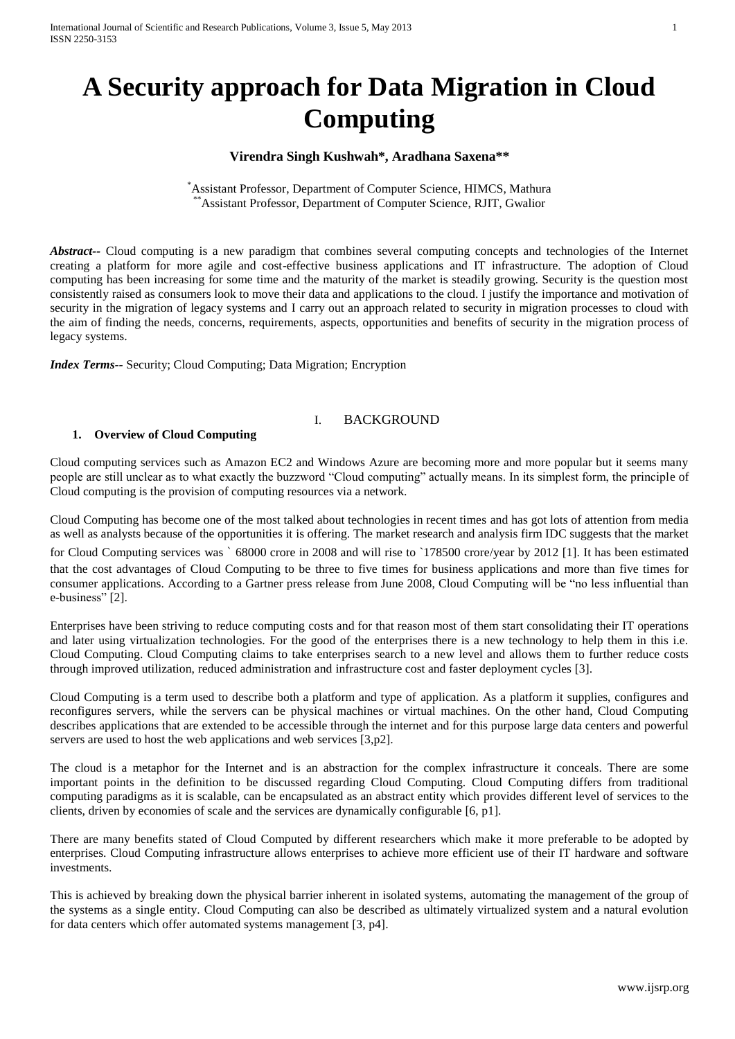# **A Security approach for Data Migration in Cloud Computing**

## **Virendra Singh Kushwah\*, Aradhana Saxena\*\***

\*Assistant Professor, Department of Computer Science, HIMCS, Mathura Assistant Professor, Department of Computer Science, RJIT, Gwalior

*Abstract--* Cloud computing is a new paradigm that combines several computing concepts and technologies of the Internet creating a platform for more agile and cost-effective business applications and IT infrastructure. The adoption of Cloud computing has been increasing for some time and the maturity of the market is steadily growing. Security is the question most consistently raised as consumers look to move their data and applications to the cloud. I justify the importance and motivation of security in the migration of legacy systems and I carry out an approach related to security in migration processes to cloud with the aim of finding the needs, concerns, requirements, aspects, opportunities and benefits of security in the migration process of legacy systems.

*Index Terms--* Security; Cloud Computing; Data Migration; Encryption

## I. BACKGROUND

#### **1. Overview of Cloud Computing**

Cloud computing services such as Amazon EC2 and Windows Azure are becoming more and more popular but it seems many people are still unclear as to what exactly the buzzword "Cloud computing" actually means. In its simplest form, the principle of Cloud computing is the provision of computing resources via a network.

Cloud Computing has become one of the most talked about technologies in recent times and has got lots of attention from media as well as analysts because of the opportunities it is offering. The market research and analysis firm IDC suggests that the market

for Cloud Computing services was ` 68000 crore in 2008 and will rise to `178500 crore/year by 2012 [1]. It has been estimated that the cost advantages of Cloud Computing to be three to five times for business applications and more than five times for consumer applications. According to a Gartner press release from June 2008, Cloud Computing will be "no less influential than e-business" [2].

Enterprises have been striving to reduce computing costs and for that reason most of them start consolidating their IT operations and later using virtualization technologies. For the good of the enterprises there is a new technology to help them in this i.e. Cloud Computing. Cloud Computing claims to take enterprises search to a new level and allows them to further reduce costs through improved utilization, reduced administration and infrastructure cost and faster deployment cycles [3].

Cloud Computing is a term used to describe both a platform and type of application. As a platform it supplies, configures and reconfigures servers, while the servers can be physical machines or virtual machines. On the other hand, Cloud Computing describes applications that are extended to be accessible through the internet and for this purpose large data centers and powerful servers are used to host the web applications and web services [3,p2].

The cloud is a metaphor for the Internet and is an abstraction for the complex infrastructure it conceals. There are some important points in the definition to be discussed regarding Cloud Computing. Cloud Computing differs from traditional computing paradigms as it is scalable, can be encapsulated as an abstract entity which provides different level of services to the clients, driven by economies of scale and the services are dynamically configurable [6, p1].

There are many benefits stated of Cloud Computed by different researchers which make it more preferable to be adopted by enterprises. Cloud Computing infrastructure allows enterprises to achieve more efficient use of their IT hardware and software investments.

This is achieved by breaking down the physical barrier inherent in isolated systems, automating the management of the group of the systems as a single entity. Cloud Computing can also be described as ultimately virtualized system and a natural evolution for data centers which offer automated systems management [3, p4].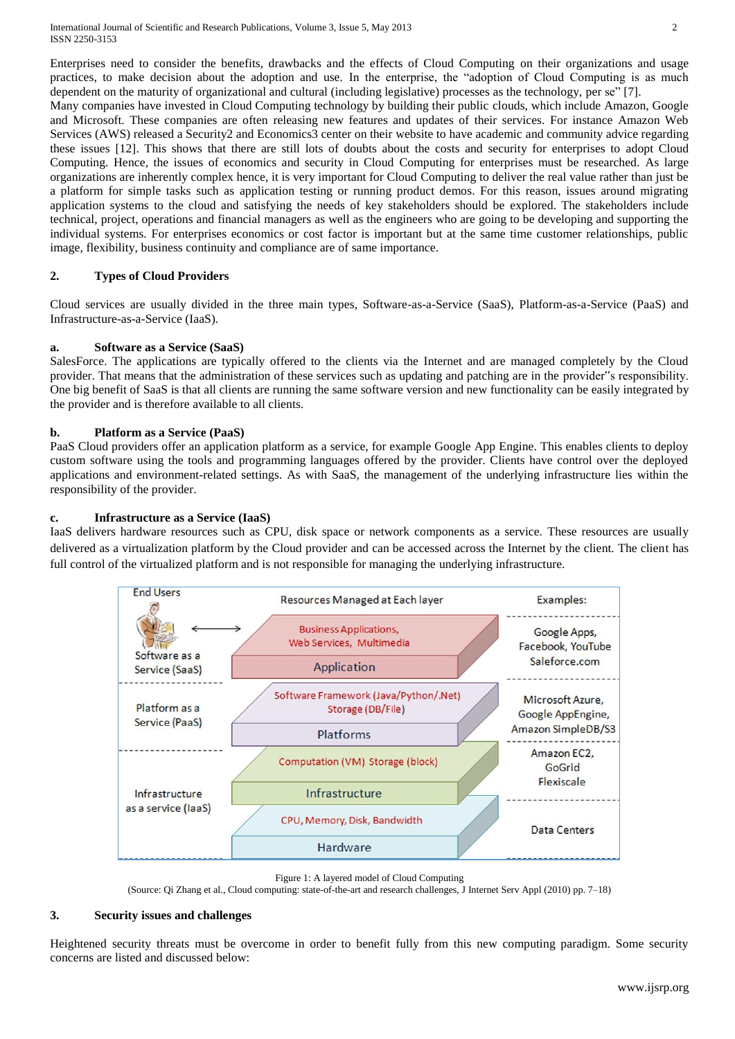image, flexibility, business continuity and compliance are of same importance.

Enterprises need to consider the benefits, drawbacks and the effects of Cloud Computing on their organizations and usage practices, to make decision about the adoption and use. In the enterprise, the "adoption of Cloud Computing is as much dependent on the maturity of organizational and cultural (including legislative) processes as the technology, per se" [7]. Many companies have invested in Cloud Computing technology by building their public clouds, which include Amazon, Google and Microsoft. These companies are often releasing new features and updates of their services. For instance Amazon Web Services (AWS) released a Security2 and Economics3 center on their website to have academic and community advice regarding these issues [12]. This shows that there are still lots of doubts about the costs and security for enterprises to adopt Cloud Computing. Hence, the issues of economics and security in Cloud Computing for enterprises must be researched. As large organizations are inherently complex hence, it is very important for Cloud Computing to deliver the real value rather than just be a platform for simple tasks such as application testing or running product demos. For this reason, issues around migrating application systems to the cloud and satisfying the needs of key stakeholders should be explored. The stakeholders include technical, project, operations and financial managers as well as the engineers who are going to be developing and supporting the individual systems. For enterprises economics or cost factor is important but at the same time customer relationships, public

## **2. Types of Cloud Providers**

Cloud services are usually divided in the three main types, Software-as-a-Service (SaaS), Platform-as-a-Service (PaaS) and Infrastructure-as-a-Service (IaaS).

#### **a. Software as a Service (SaaS)**

SalesForce. The applications are typically offered to the clients via the Internet and are managed completely by the Cloud provider. That means that the administration of these services such as updating and patching are in the provider"s responsibility. One big benefit of SaaS is that all clients are running the same software version and new functionality can be easily integrated by the provider and is therefore available to all clients.

#### **b. Platform as a Service (PaaS)**

PaaS Cloud providers offer an application platform as a service, for example Google App Engine. This enables clients to deploy custom software using the tools and programming languages offered by the provider. Clients have control over the deployed applications and environment-related settings. As with SaaS, the management of the underlying infrastructure lies within the responsibility of the provider.

#### **c. Infrastructure as a Service (IaaS)**

IaaS delivers hardware resources such as CPU, disk space or network components as a service. These resources are usually delivered as a virtualization platform by the Cloud provider and can be accessed across the Internet by the client. The client has full control of the virtualized platform and is not responsible for managing the underlying infrastructure.



Figure 1: A layered model of Cloud Computing

(Source: Qi Zhang et al., Cloud computing: state-of-the-art and research challenges, J Internet Serv Appl (2010) pp. 7–18)

#### **3. Security issues and challenges**

Heightened security threats must be overcome in order to benefit fully from this new computing paradigm. Some security concerns are listed and discussed below: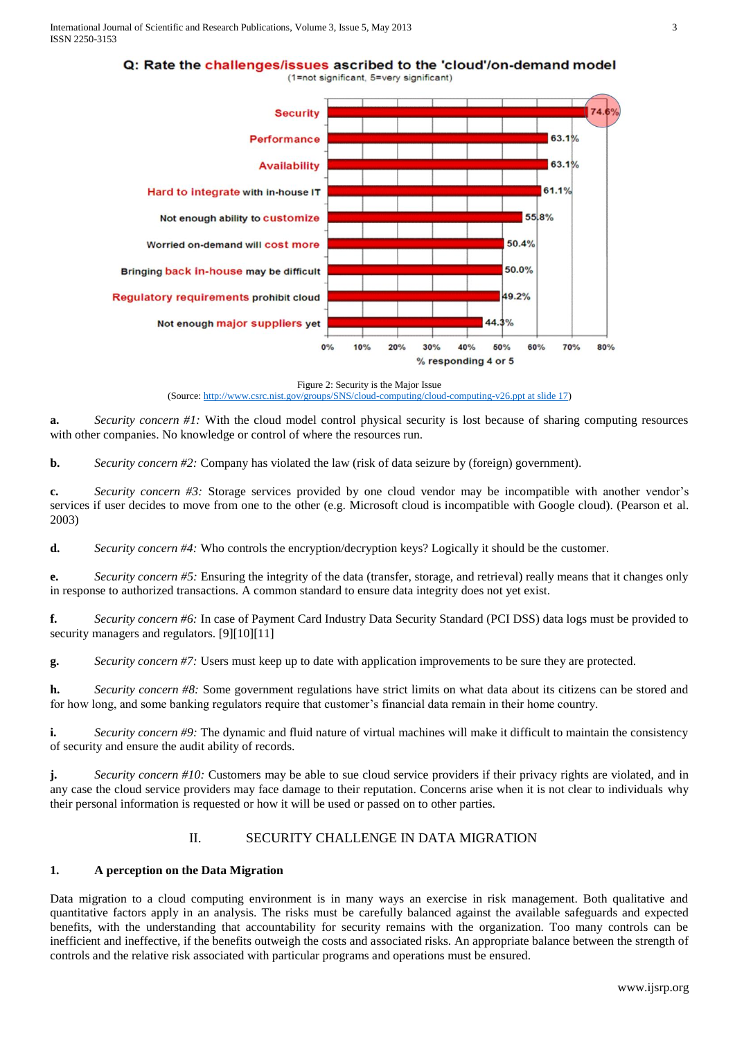International Journal of Scientific and Research Publications, Volume 3, Issue 5, May 2013 3 ISSN 2250-3153

Q: Rate the challenges/issues ascribed to the 'cloud'/on-demand model



Figure 2: Security is the Major Issue (Source: [http://www.csrc.nist.gov/groups/SNS/cloud-computing/cloud-computing-v26.ppt at slide 17\)](http://www.csrc.nist.gov/groups/SNS/cloud-computing/cloud-computing-v26.ppt%20at%20slide%2017)

**a.** *Security concern #1:* With the cloud model control physical security is lost because of sharing computing resources with other companies. No knowledge or control of where the resources run.

**b.** *Security concern #2:* Company has violated the law (risk of data seizure by (foreign) government).

**c.** *Security concern #3:* Storage services provided by one cloud vendor may be incompatible with another vendor's services if user decides to move from one to the other (e.g. Microsoft cloud is incompatible with Google cloud). (Pearson et al. 2003)

**d.** *Security concern #4:* Who controls the encryption/decryption keys? Logically it should be the customer.

**e.** *Security concern #5:* Ensuring the integrity of the data (transfer, storage, and retrieval) really means that it changes only in response to authorized transactions. A common standard to ensure data integrity does not yet exist.

**f.** *Security concern #6:* In case of Payment Card Industry Data Security Standard (PCI DSS) data logs must be provided to security managers and regulators. [9][10][11]

**g.** *Security concern #7:* Users must keep up to date with application improvements to be sure they are protected.

**h.** *Security concern #8:* Some government regulations have strict limits on what data about its citizens can be stored and for how long, and some banking regulators require that customer's financial data remain in their home country.

**i.** *Security concern #9:* The dynamic and fluid nature of virtual machines will make it difficult to maintain the consistency of security and ensure the audit ability of records.

**j.** *Security concern #10:* Customers may be able to sue cloud service providers if their privacy rights are violated, and in any case the cloud service providers may face damage to their reputation. Concerns arise when it is not clear to individuals why their personal information is requested or how it will be used or passed on to other parties.

# II. SECURITY CHALLENGE IN DATA MIGRATION

# **1. A perception on the Data Migration**

Data migration to a cloud computing environment is in many ways an exercise in risk management. Both qualitative and quantitative factors apply in an analysis. The risks must be carefully balanced against the available safeguards and expected benefits, with the understanding that accountability for security remains with the organization. Too many controls can be inefficient and ineffective, if the benefits outweigh the costs and associated risks. An appropriate balance between the strength of controls and the relative risk associated with particular programs and operations must be ensured.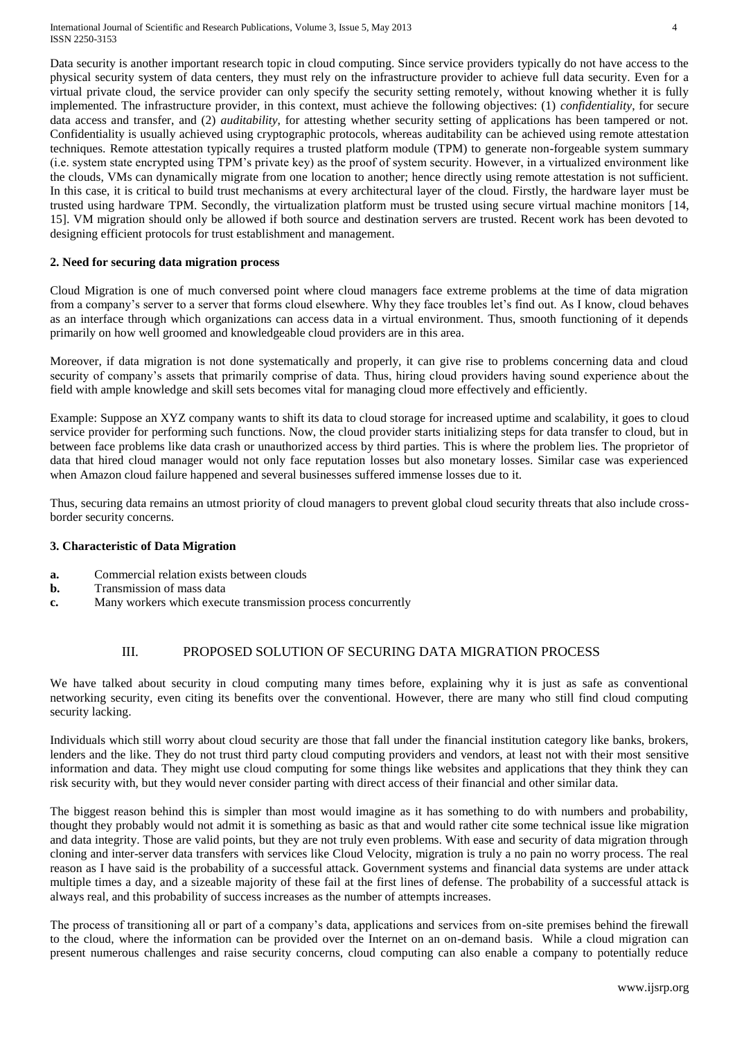Data security is another important research topic in cloud computing. Since service providers typically do not have access to the physical security system of data centers, they must rely on the infrastructure provider to achieve full data security. Even for a virtual private cloud, the service provider can only specify the security setting remotely, without knowing whether it is fully implemented. The infrastructure provider, in this context, must achieve the following objectives: (1) *confidentiality*, for secure data access and transfer, and (2) *auditability*, for attesting whether security setting of applications has been tampered or not. Confidentiality is usually achieved using cryptographic protocols, whereas auditability can be achieved using remote attestation techniques. Remote attestation typically requires a trusted platform module (TPM) to generate non-forgeable system summary (i.e. system state encrypted using TPM's private key) as the proof of system security. However, in a virtualized environment like the clouds, VMs can dynamically migrate from one location to another; hence directly using remote attestation is not sufficient. In this case, it is critical to build trust mechanisms at every architectural layer of the cloud. Firstly, the hardware layer must be trusted using hardware TPM. Secondly, the virtualization platform must be trusted using secure virtual machine monitors [14, 15]. VM migration should only be allowed if both source and destination servers are trusted. Recent work has been devoted to designing efficient protocols for trust establishment and management.

#### **2. Need for securing data migration process**

Cloud Migration is one of much conversed point where cloud managers face extreme problems at the time of data migration from a company's server to a server that forms cloud elsewhere. Why they face troubles let's find out. As I know, cloud behaves as an interface through which organizations can access data in a virtual environment. Thus, smooth functioning of it depends primarily on how well groomed and knowledgeable cloud providers are in this area.

Moreover, if data migration is not done systematically and properly, it can give rise to problems concerning data and cloud security of company's assets that primarily comprise of data. Thus, hiring cloud providers having sound experience about the field with ample knowledge and skill sets becomes vital for managing cloud more effectively and efficiently.

Example: Suppose an XYZ company wants to shift its data to cloud storage for increased uptime and scalability, it goes to cloud service provider for performing such functions. Now, the cloud provider starts initializing steps for data transfer to cloud, but in between face problems like data crash or unauthorized access by third parties. This is where the problem lies. The proprietor of data that hired cloud manager would not only face reputation losses but also monetary losses. Similar case was experienced when Amazon cloud failure happened and several businesses suffered immense losses due to it.

Thus, securing data remains an utmost priority of cloud managers to prevent global cloud security threats that also include crossborder security concerns.

### **3. Characteristic of Data Migration**

- **a.** Commercial relation exists between clouds
- **b.** Transmission of mass data
- **c.** Many workers which execute transmission process concurrently

# III. PROPOSED SOLUTION OF SECURING DATA MIGRATION PROCESS

We have talked about security in cloud computing many times before, explaining why it is just as safe as conventional networking security, even citing its benefits over the conventional. However, there are many who still find cloud computing security lacking.

Individuals which still worry about cloud security are those that fall under the financial institution category like banks, brokers, lenders and the like. They do not trust third party cloud computing providers and vendors, at least not with their most sensitive information and data. They might use cloud computing for some things like websites and applications that they think they can risk security with, but they would never consider parting with direct access of their financial and other similar data.

The biggest reason behind this is simpler than most would imagine as it has something to do with numbers and probability, thought they probably would not admit it is something as basic as that and would rather cite some technical issue like migration and data integrity. Those are valid points, but they are not truly even problems. With ease and security of data migration through cloning and inter-server data transfers with services like Cloud Velocity, migration is truly a no pain no worry process. The real reason as I have said is the probability of a successful attack. Government systems and financial data systems are under attack multiple times a day, and a sizeable majority of these fail at the first lines of defense. The probability of a successful attack is always real, and this probability of success increases as the number of attempts increases.

The process of transitioning all or part of a company's data, applications and services from on-site premises behind the firewall to the cloud, where the information can be provided over the Internet on an on-demand basis. While a cloud migration can present numerous challenges and raise security concerns, cloud computing can also enable a company to potentially reduce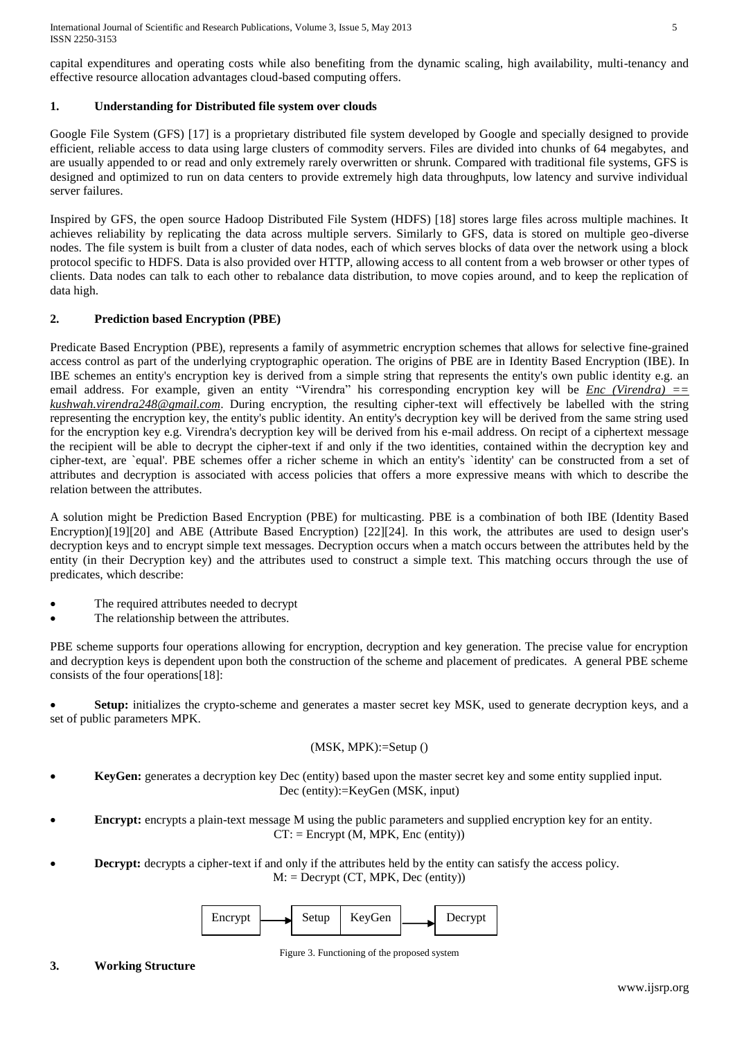capital expenditures and operating costs while also benefiting from the dynamic scaling, high availability, multi-tenancy and effective resource allocation advantages cloud-based computing offers.

# **1. Understanding for Distributed file system over clouds**

Google File System (GFS) [17] is a proprietary distributed file system developed by Google and specially designed to provide efficient, reliable access to data using large clusters of commodity servers. Files are divided into chunks of 64 megabytes, and are usually appended to or read and only extremely rarely overwritten or shrunk. Compared with traditional file systems, GFS is designed and optimized to run on data centers to provide extremely high data throughputs, low latency and survive individual server failures.

Inspired by GFS, the open source Hadoop Distributed File System (HDFS) [18] stores large files across multiple machines. It achieves reliability by replicating the data across multiple servers. Similarly to GFS, data is stored on multiple geo-diverse nodes. The file system is built from a cluster of data nodes, each of which serves blocks of data over the network using a block protocol specific to HDFS. Data is also provided over HTTP, allowing access to all content from a web browser or other types of clients. Data nodes can talk to each other to rebalance data distribution, to move copies around, and to keep the replication of data high.

# **2. Prediction based Encryption (PBE)**

Predicate Based Encryption (PBE), represents a family of asymmetric encryption schemes that allows for selective fine-grained access control as part of the underlying cryptographic operation. The origins of PBE are in Identity Based Encryption (IBE). In IBE schemes an entity's encryption key is derived from a simple string that represents the entity's own public identity e.g. an email address. For example, given an entity "Virendra" his corresponding encryption key will be *Enc (Virendra)* == *kushwah.virendra248@gmail.com*. During encryption, the resulting cipher-text will effectively be labelled with the string representing the encryption key, the entity's public identity. An entity's decryption key will be derived from the same string used for the encryption key e.g. Virendra's decryption key will be derived from his e-mail address. On recipt of a ciphertext message the recipient will be able to decrypt the cipher-text if and only if the two identities, contained within the decryption key and cipher-text, are `equal'. PBE schemes offer a richer scheme in which an entity's `identity' can be constructed from a set of attributes and decryption is associated with access policies that offers a more expressive means with which to describe the relation between the attributes.

A solution might be Prediction Based Encryption (PBE) for multicasting. PBE is a combination of both IBE (Identity Based Encryption)[19][20] and ABE (Attribute Based Encryption) [22][24]. In this work, the attributes are used to design user's decryption keys and to encrypt simple text messages. Decryption occurs when a match occurs between the attributes held by the entity (in their Decryption key) and the attributes used to construct a simple text. This matching occurs through the use of predicates, which describe:

- The required attributes needed to decrypt
- The relationship between the attributes.

PBE scheme supports four operations allowing for encryption, decryption and key generation. The precise value for encryption and decryption keys is dependent upon both the construction of the scheme and placement of predicates. A general PBE scheme consists of the four operations[18]:

 **Setup:** initializes the crypto-scheme and generates a master secret key MSK, used to generate decryption keys, and a set of public parameters MPK.

### (MSK, MPK):=Setup ()

- **KeyGen:** generates a decryption key Dec (entity) based upon the master secret key and some entity supplied input. Dec (entity):=KeyGen (MSK, input)
- **Encrypt:** encrypts a plain-text message M using the public parameters and supplied encryption key for an entity.  $CT:$  = Encrypt (M, MPK, Enc (entity))
- **Decrypt:** decrypts a cipher-text if and only if the attributes held by the entity can satisfy the access policy.  $M:$  = Decrypt (CT, MPK, Dec (entity))

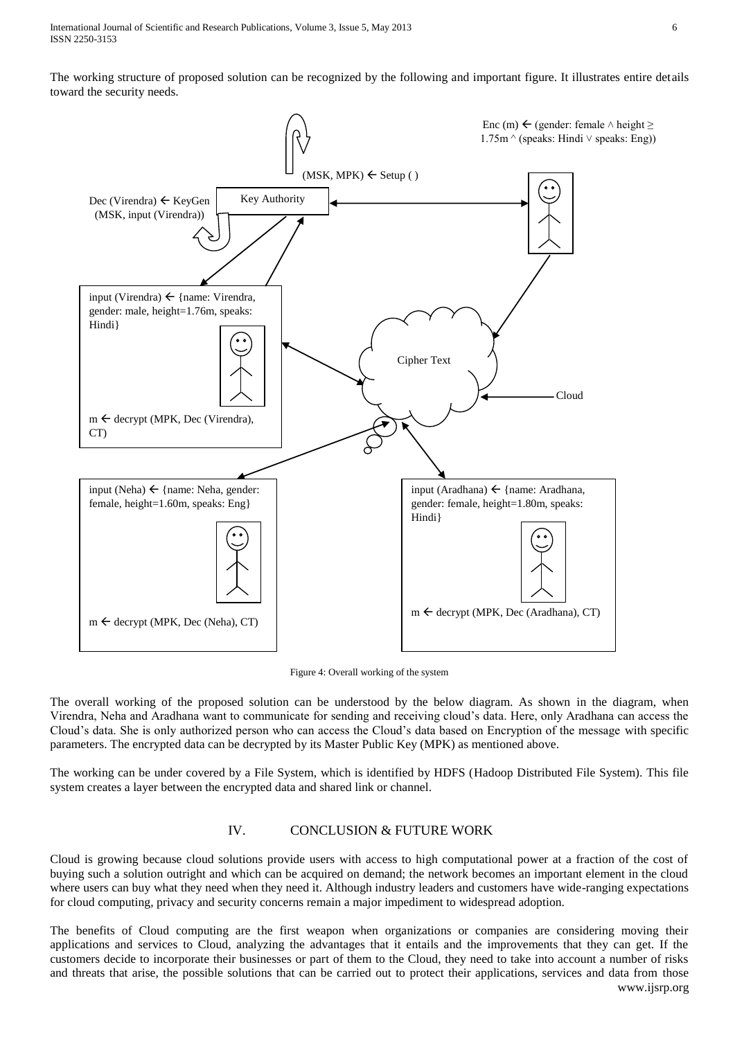The working structure of proposed solution can be recognized by the following and important figure. It illustrates entire details toward the security needs.



Figure 4: Overall working of the system

The overall working of the proposed solution can be understood by the below diagram. As shown in the diagram, when Virendra, Neha and Aradhana want to communicate for sending and receiving cloud's data. Here, only Aradhana can access the Cloud's data. She is only authorized person who can access the Cloud's data based on Encryption of the message with specific parameters. The encrypted data can be decrypted by its Master Public Key (MPK) as mentioned above.

The working can be under covered by a File System, which is identified by HDFS (Hadoop Distributed File System). This file system creates a layer between the encrypted data and shared link or channel.

# IV. CONCLUSION & FUTURE WORK

Cloud is growing because cloud solutions provide users with access to high computational power at a fraction of the cost of buying such a solution outright and which can be acquired on demand; the network becomes an important element in the cloud where users can buy what they need when they need it. Although industry leaders and customers have wide-ranging expectations for cloud computing, privacy and security concerns remain a major impediment to widespread adoption.

www.ijsrp.org The benefits of Cloud computing are the first weapon when organizations or companies are considering moving their applications and services to Cloud, analyzing the advantages that it entails and the improvements that they can get. If the customers decide to incorporate their businesses or part of them to the Cloud, they need to take into account a number of risks and threats that arise, the possible solutions that can be carried out to protect their applications, services and data from those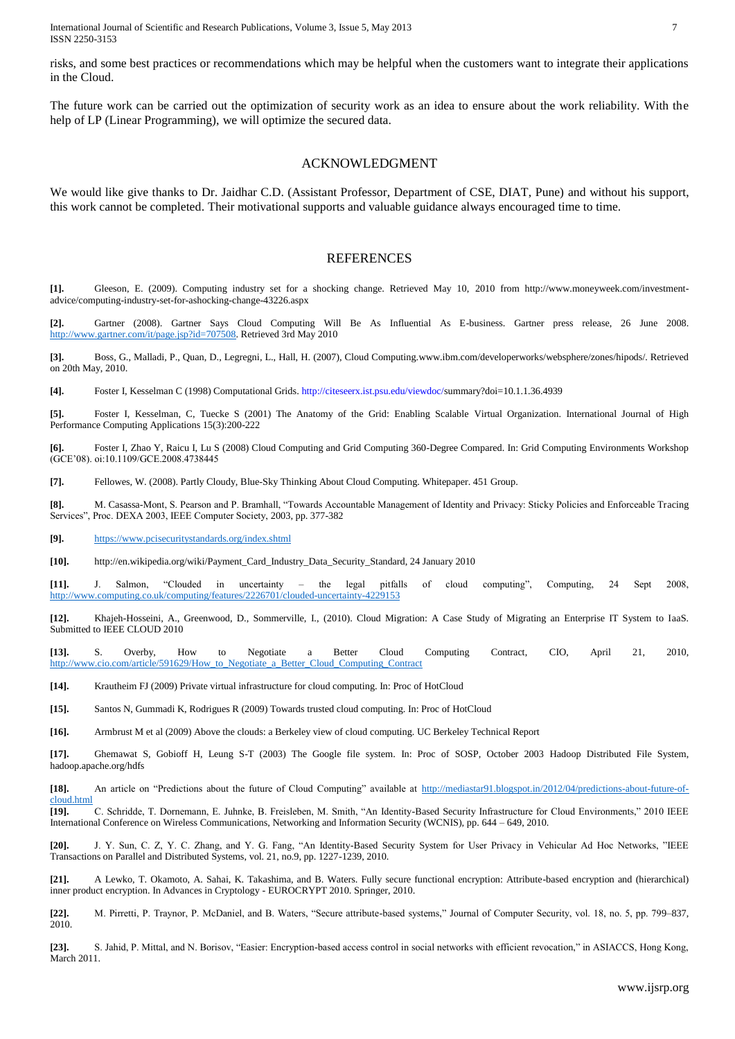International Journal of Scientific and Research Publications, Volume 3, Issue 5, May 2013 7 ISSN 2250-3153

risks, and some best practices or recommendations which may be helpful when the customers want to integrate their applications in the Cloud.

The future work can be carried out the optimization of security work as an idea to ensure about the work reliability. With the help of LP (Linear Programming), we will optimize the secured data.

#### ACKNOWLEDGMENT

We would like give thanks to Dr. Jaidhar C.D. (Assistant Professor, Department of CSE, DIAT, Pune) and without his support, this work cannot be completed. Their motivational supports and valuable guidance always encouraged time to time.

#### **REFERENCES**

**[1].** Gleeson, E. (2009). Computing industry set for a shocking change. Retrieved May 10, 2010 from http://www.moneyweek.com/investmentadvice/computing-industry-set-for-ashocking-change-43226.aspx

**[2].** Gartner (2008). Gartner Says Cloud Computing Will Be As Influential As E-business. Gartner press release, 26 June 2008. [http://www.gartner.com/it/page.jsp?id=707508.](http://www.gartner.com/it/page.jsp?id=707508) Retrieved 3rd May 2010

**[3].** Boss, G., Malladi, P., Quan, D., Legregni, L., Hall, H. (2007), Cloud Computing.www.ibm.com/developerworks/websphere/zones/hipods/. Retrieved on 20th May, 2010.

**[4].** Foster I, Kesselman C (1998) Computational Grids. http://citeseerx.ist.psu.edu/viewdoc/summary?doi=10.1.1.36.4939

**[5].** Foster I, Kesselman, C, Tuecke S (2001) The Anatomy of the Grid: Enabling Scalable Virtual Organization. International Journal of High Performance Computing Applications 15(3):200-222

**[6].** Foster I, Zhao Y, Raicu I, Lu S (2008) Cloud Computing and Grid Computing 360-Degree Compared. In: Grid Computing Environments Workshop (GCE'08). oi:10.1109/GCE.2008.4738445

**[7].** Fellowes, W. (2008). Partly Cloudy, Blue-Sky Thinking About Cloud Computing. Whitepaper. 451 Group.

**[8].** M. Casassa-Mont, S. Pearson and P. Bramhall, "Towards Accountable Management of Identity and Privacy: Sticky Policies and Enforceable Tracing Services", Proc. DEXA 2003, IEEE Computer Society, 2003, pp. 377-382

**[9].** <https://www.pcisecuritystandards.org/index.shtml>

**[10].** http://en.wikipedia.org/wiki/Payment\_Card\_Industry\_Data\_Security\_Standard, 24 January 2010

**[11].** J. Salmon, "Clouded in uncertainty – the legal pitfalls of cloud computing", Computing, 24 Sept 2008, <http://www.computing.co.uk/computing/features/2226701/clouded-uncertainty-4229153>

**[12].** Khajeh-Hosseini, A., Greenwood, D., Sommerville, I., (2010). Cloud Migration: A Case Study of Migrating an Enterprise IT System to IaaS. Submitted to IEEE CLOUD 2010

**[13].** S. Overby, How to Negotiate a Better Cloud Computing Contract, CIO, April 21, 2010, [http://www.cio.com/article/591629/How\\_to\\_Negotiate\\_a\\_Better\\_Cloud\\_Computing\\_Contract](http://www.cio.com/article/591629/How_to_Negotiate_a_Better_Cloud_Computing_Contract)

**[14].** Krautheim FJ (2009) Private virtual infrastructure for cloud computing. In: Proc of HotCloud

**[15].** Santos N, Gummadi K, Rodrigues R (2009) Towards trusted cloud computing. In: Proc of HotCloud

**[16].** Armbrust M et al (2009) Above the clouds: a Berkeley view of cloud computing. UC Berkeley Technical Report

**[17].** Ghemawat S, Gobioff H, Leung S-T (2003) The Google file system. In: Proc of SOSP, October 2003 Hadoop Distributed File System, hadoop.apache.org/hdfs

**[18].** An article on "Predictions about the future of Cloud Computing" available at [http://mediastar91.blogspot.in/2012/04/predictions-about-future-of-](http://mediastar91.blogspot.in/2012/04/predictions-about-future-of-cloud.html)

[cloud.html](http://mediastar91.blogspot.in/2012/04/predictions-about-future-of-cloud.html)<br>[19]. **[19].** C. Schridde, T. Dornemann, E. Juhnke, B. Freisleben, M. Smith, "An Identity-Based Security Infrastructure for Cloud Environments," 2010 IEEE International Conference on Wireless Communications, Networking and Information Security (WCNIS), pp. 644 – 649, 2010.

**[20].** J. Y. Sun, C. Z, Y. C. Zhang, and Y. G. Fang, "An Identity-Based Security System for User Privacy in Vehicular Ad Hoc Networks, "IEEE Transactions on Parallel and Distributed Systems, vol. 21, no.9, pp. 1227-1239, 2010.

**[21].** A Lewko, T. Okamoto, A. Sahai, K. Takashima, and B. Waters. Fully secure functional encryption: Attribute-based encryption and (hierarchical) inner product encryption. In Advances in Cryptology - EUROCRYPT 2010. Springer, 2010.

**[22].** M. Pirretti, P. Traynor, P. McDaniel, and B. Waters, "Secure attribute-based systems," Journal of Computer Security, vol. 18, no. 5, pp. 799–837, 2010.

**[23].** S. Jahid, P. Mittal, and N. Borisov, "Easier: Encryption-based access control in social networks with efficient revocation," in ASIACCS, Hong Kong, March 2011.